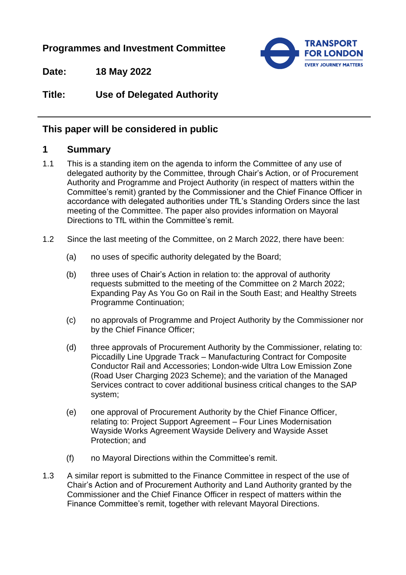**Programmes and Investment Committee**



**Date: 18 May 2022**

**Title: Use of Delegated Authority**

# **This paper will be considered in public**

# **1 Summary**

- 1.1 This is a standing item on the agenda to inform the Committee of any use of delegated authority by the Committee, through Chair's Action, or of Procurement Authority and Programme and Project Authority (in respect of matters within the Committee's remit) granted by the Commissioner and the Chief Finance Officer in accordance with delegated authorities under TfL's Standing Orders since the last meeting of the Committee. The paper also provides information on Mayoral Directions to TfL within the Committee's remit.
- 1.2 Since the last meeting of the Committee, on 2 March 2022, there have been:
	- (a) no uses of specific authority delegated by the Board;
	- (b) three uses of Chair's Action in relation to: the approval of authority requests submitted to the meeting of the Committee on 2 March 2022; Expanding Pay As You Go on Rail in the South East; and Healthy Streets Programme Continuation;
	- (c) no approvals of Programme and Project Authority by the Commissioner nor by the Chief Finance Officer;
	- (d) three approvals of Procurement Authority by the Commissioner, relating to: Piccadilly Line Upgrade Track – Manufacturing Contract for Composite Conductor Rail and Accessories; London-wide Ultra Low Emission Zone (Road User Charging 2023 Scheme); and the variation of the Managed Services contract to cover additional business critical changes to the SAP system;
	- (e) one approval of Procurement Authority by the Chief Finance Officer, relating to: Project Support Agreement – Four Lines Modernisation Wayside Works Agreement Wayside Delivery and Wayside Asset Protection; and
	- (f) no Mayoral Directions within the Committee's remit.
- 1.3 A similar report is submitted to the Finance Committee in respect of the use of Chair's Action and of Procurement Authority and Land Authority granted by the Commissioner and the Chief Finance Officer in respect of matters within the Finance Committee's remit, together with relevant Mayoral Directions.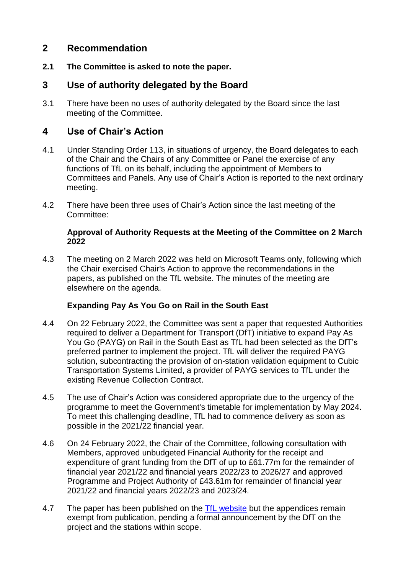# **2 Recommendation**

**2.1 The Committee is asked to note the paper.**

### **3 Use of authority delegated by the Board**

3.1 There have been no uses of authority delegated by the Board since the last meeting of the Committee.

# **4 Use of Chair's Action**

- 4.1 Under Standing Order 113, in situations of urgency, the Board delegates to each of the Chair and the Chairs of any Committee or Panel the exercise of any functions of TfL on its behalf, including the appointment of Members to Committees and Panels. Any use of Chair's Action is reported to the next ordinary meeting.
- 4.2 There have been three uses of Chair's Action since the last meeting of the Committee:

#### **Approval of Authority Requests at the Meeting of the Committee on 2 March 2022**

4.3 The meeting on 2 March 2022 was held on Microsoft Teams only, following which the Chair exercised Chair's Action to approve the recommendations in the papers, as published on the TfL website. The minutes of the meeting are elsewhere on the agenda.

### **Expanding Pay As You Go on Rail in the South East**

- 4.4 On 22 February 2022, the Committee was sent a paper that requested Authorities required to deliver a Department for Transport (DfT) initiative to expand Pay As You Go (PAYG) on Rail in the South East as TfL had been selected as the DfT's preferred partner to implement the project. TfL will deliver the required PAYG solution, subcontracting the provision of on-station validation equipment to Cubic Transportation Systems Limited, a provider of PAYG services to TfL under the existing Revenue Collection Contract.
- 4.5 The use of Chair's Action was considered appropriate due to the urgency of the programme to meet the Government's timetable for implementation by May 2024. To meet this challenging deadline, TfL had to commence delivery as soon as possible in the 2021/22 financial year.
- 4.6 On 24 February 2022, the Chair of the Committee, following consultation with Members, approved unbudgeted Financial Authority for the receipt and expenditure of grant funding from the DfT of up to £61.77m for the remainder of financial year 2021/22 and financial years 2022/23 to 2026/27 and approved Programme and Project Authority of £43.61m for remainder of financial year 2021/22 and financial years 2022/23 and 2023/24.
- 4.7 The paper has been published on the [TfL website](https://board.tfl.gov.uk/ieListDocuments.aspx?CId=172&MId=665&Ver=4) but the appendices remain exempt from publication, pending a formal announcement by the DfT on the project and the stations within scope.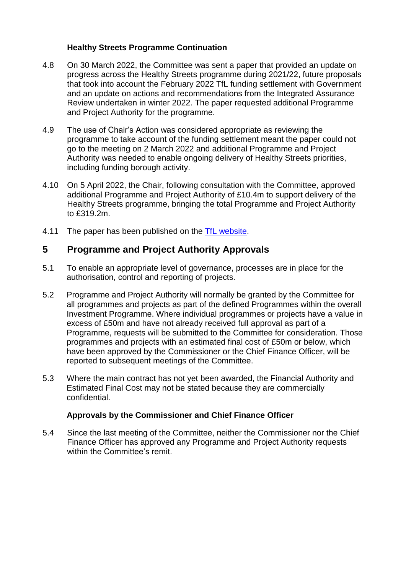### **Healthy Streets Programme Continuation**

- 4.8 On 30 March 2022, the Committee was sent a paper that provided an update on progress across the Healthy Streets programme during 2021/22, future proposals that took into account the February 2022 TfL funding settlement with Government and an update on actions and recommendations from the Integrated Assurance Review undertaken in winter 2022. The paper requested additional Programme and Project Authority for the programme.
- 4.9 The use of Chair's Action was considered appropriate as reviewing the programme to take account of the funding settlement meant the paper could not go to the meeting on 2 March 2022 and additional Programme and Project Authority was needed to enable ongoing delivery of Healthy Streets priorities, including funding borough activity.
- 4.10 On 5 April 2022, the Chair, following consultation with the Committee, approved additional Programme and Project Authority of £10.4m to support delivery of the Healthy Streets programme, bringing the total Programme and Project Authority to £319.2m.
- 4.11 The paper has been published on the [TfL website.](https://board.tfl.gov.uk/ieListDocuments.aspx?CId=172&MId=665&Ver=4)

### **5 Programme and Project Authority Approvals**

- 5.1 To enable an appropriate level of governance, processes are in place for the authorisation, control and reporting of projects.
- 5.2 Programme and Project Authority will normally be granted by the Committee for all programmes and projects as part of the defined Programmes within the overall Investment Programme. Where individual programmes or projects have a value in excess of £50m and have not already received full approval as part of a Programme, requests will be submitted to the Committee for consideration. Those programmes and projects with an estimated final cost of £50m or below, which have been approved by the Commissioner or the Chief Finance Officer, will be reported to subsequent meetings of the Committee.
- 5.3 Where the main contract has not yet been awarded, the Financial Authority and Estimated Final Cost may not be stated because they are commercially confidential.

### **Approvals by the Commissioner and Chief Finance Officer**

5.4 Since the last meeting of the Committee, neither the Commissioner nor the Chief Finance Officer has approved any Programme and Project Authority requests within the Committee's remit.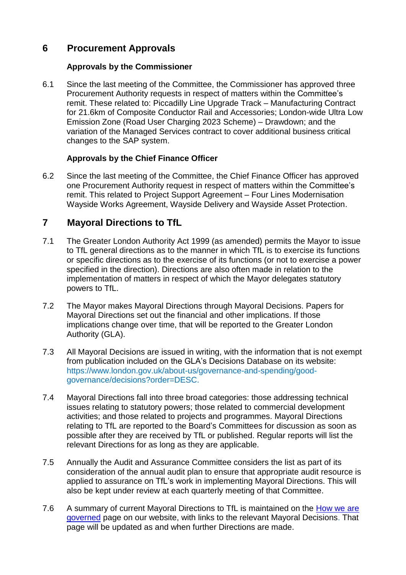# **6 Procurement Approvals**

### **Approvals by the Commissioner**

6.1 Since the last meeting of the Committee, the Commissioner has approved three Procurement Authority requests in respect of matters within the Committee's remit. These related to: Piccadilly Line Upgrade Track – Manufacturing Contract for 21.6km of Composite Conductor Rail and Accessories; London-wide Ultra Low Emission Zone (Road User Charging 2023 Scheme) – Drawdown; and the variation of the Managed Services contract to cover additional business critical changes to the SAP system.

### **Approvals by the Chief Finance Officer**

6.2 Since the last meeting of the Committee, the Chief Finance Officer has approved one Procurement Authority request in respect of matters within the Committee's remit. This related to Project Support Agreement – Four Lines Modernisation Wayside Works Agreement, Wayside Delivery and Wayside Asset Protection.

# **7 Mayoral Directions to TfL**

- 7.1 The Greater London Authority Act 1999 (as amended) permits the Mayor to issue to TfL general directions as to the manner in which TfL is to exercise its functions or specific directions as to the exercise of its functions (or not to exercise a power specified in the direction). Directions are also often made in relation to the implementation of matters in respect of which the Mayor delegates statutory powers to TfL.
- 7.2 The Mayor makes Mayoral Directions through Mayoral Decisions. Papers for Mayoral Directions set out the financial and other implications. If those implications change over time, that will be reported to the Greater London Authority (GLA).
- 7.3 All Mayoral Decisions are issued in writing, with the information that is not exempt from publication included on the GLA's Decisions Database on its website: [https://www.london.gov.uk/about-us/governance-and-spending/good](https://www.london.gov.uk/about-us/governance-and-spending/good-governance/decisions?order=DESC)[governance/decisions?order=DESC.](https://www.london.gov.uk/about-us/governance-and-spending/good-governance/decisions?order=DESC)
- 7.4 Mayoral Directions fall into three broad categories: those addressing technical issues relating to statutory powers; those related to commercial development activities; and those related to projects and programmes. Mayoral Directions relating to TfL are reported to the Board's Committees for discussion as soon as possible after they are received by TfL or published. Regular reports will list the relevant Directions for as long as they are applicable.
- 7.5 Annually the Audit and Assurance Committee considers the list as part of its consideration of the annual audit plan to ensure that appropriate audit resource is applied to assurance on TfL's work in implementing Mayoral Directions. This will also be kept under review at each quarterly meeting of that Committee.
- 7.6 A summary of current Mayoral Directions to TfL is maintained on the How we are [governed](https://tfl.gov.uk/corporate/about-tfl/how-we-work/how-we-are-governed) page on our website, with links to the relevant Mayoral Decisions. That page will be updated as and when further Directions are made.